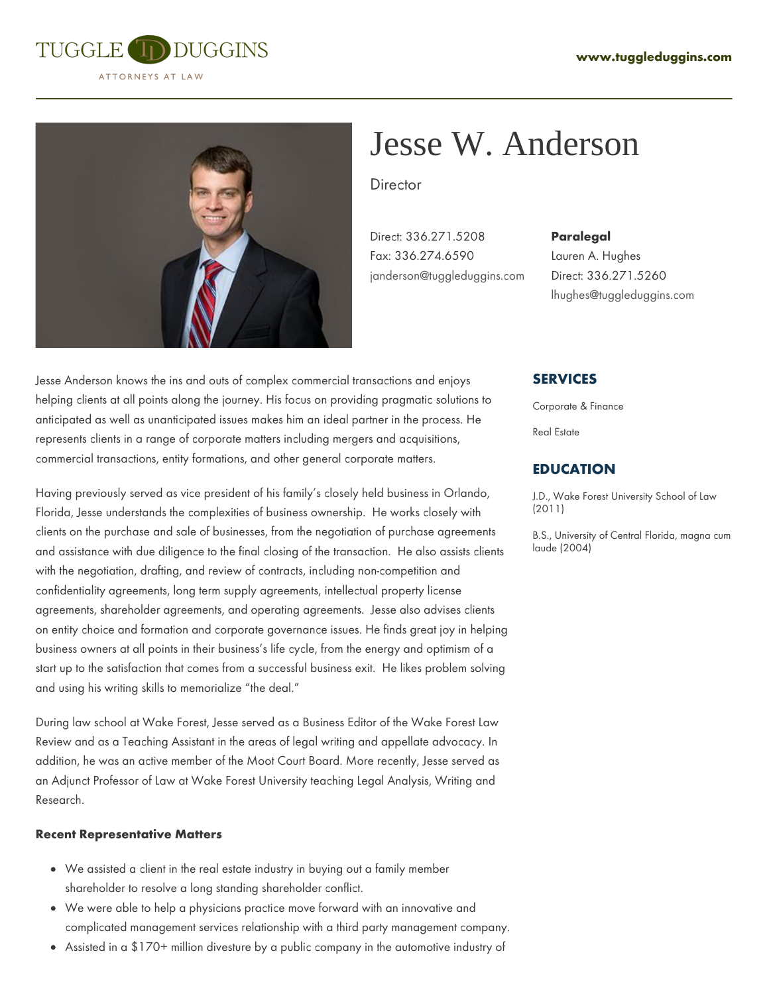



# Jesse W. Anderson

**Director** 

Direct: 336.271.5208 Fax: 336.274.6590 [janderson@tuggleduggins.com](mailto:janderson@tuggleduggins.com)

#### **Paralegal**

Lauren A. Hughes Direct: 336.271.5260 [lhughes@tuggleduggins.com](mailto: lhughes@tuggleduggins.com)

Jesse Anderson knows the ins and outs of complex commercial transactions and enjoys helping clients at all points along the journey. His focus on providing pragmatic solutions to anticipated as well as unanticipated issues makes him an ideal partner in the process. He represents clients in a range of corporate matters including mergers and acquisitions, commercial transactions, entity formations, and other general corporate matters.

Having previously served as vice president of his family's closely held business in Orlando, Florida, Jesse understands the complexities of business ownership. He works closely with clients on the purchase and sale of businesses, from the negotiation of purchase agreements and assistance with due diligence to the final closing of the transaction. He also assists clients with the negotiation, drafting, and review of contracts, including non-competition and confidentiality agreements, long term supply agreements, intellectual property license agreements, shareholder agreements, and operating agreements. Jesse also advises clients on entity choice and formation and corporate governance issues. He finds great joy in helping business owners at all points in their business's life cycle, from the energy and optimism of a start up to the satisfaction that comes from a successful business exit. He likes problem solving and using his writing skills to memorialize "the deal."

During law school at Wake Forest, Jesse served as a Business Editor of the Wake Forest Law Review and as a Teaching Assistant in the areas of legal writing and appellate advocacy. In addition, he was an active member of the Moot Court Board. More recently, Jesse served as an Adjunct Professor of Law at Wake Forest University teaching Legal Analysis, Writing and Research.

#### **Recent Representative Matters**

- We assisted a client in the real estate industry in buying out a family member shareholder to resolve a long standing shareholder conflict.
- We were able to help a physicians practice move forward with an innovative and complicated management services relationship with a third party management company.
- Assisted in a \$170+ million divesture by a public company in the automotive industry of

## **SERVICES**

Corporate & Finance

Real Estate

## **EDUCATION**

J.D., Wake Forest University School of Law (2011)

B.S., University of Central Florida, magna cum laude (2004)